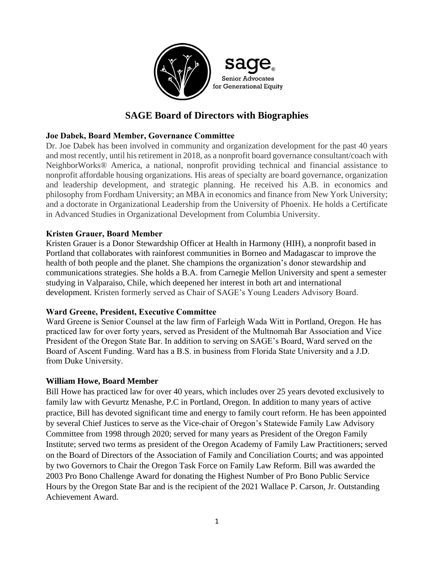

# **SAGE Board of Directors with Biographies**

## **Joe Dabek, Board Member, Governance Committee**

Dr. Joe Dabek has been involved in community and organization development for the past 40 years and most recently, until his retirement in 2018, as a nonprofit board governance consultant/coach with NeighborWorks® America, a national, nonprofit providing technical and financial assistance to nonprofit affordable housing organizations. His areas of specialty are board governance, organization and leadership development, and strategic planning. He received his A.B. in economics and philosophy from Fordham University; an MBA in economics and finance from New York University; and a doctorate in Organizational Leadership from the University of Phoenix. He holds a Certificate in Advanced Studies in Organizational Development from Columbia University.

#### **Kristen Grauer, Board Member**

Kristen Grauer is a Donor Stewardship Officer at Health in Harmony (HIH), a nonprofit based in Portland that collaborates with rainforest communities in Borneo and Madagascar to improve the health of both people and the planet. She champions the organization's donor stewardship and communications strategies. She holds a B.A. from Carnegie Mellon University and spent a semester studying in Valparaiso, Chile, which deepened her interest in both art and international development. Kristen formerly served as Chair of SAGE's Young Leaders Advisory Board.

#### **Ward Greene, President, Executive Committee**

Ward Greene is Senior Counsel at the law firm of Farleigh Wada Witt in Portland, Oregon. He has practiced law for over forty years, served as President of the Multnomah Bar Association and Vice President of the Oregon State Bar. In addition to serving on SAGE's Board, Ward served on the Board of Ascent Funding. Ward has a B.S. in business from Florida State University and a J.D. from Duke University.

#### **William Howe, Board Member**

Bill Howe has practiced law for over 40 years, which includes over 25 years devoted exclusively to family law with Gevurtz Menashe, P.C in Portland, Oregon. In addition to many years of active practice, Bill has devoted significant time and energy to family court reform. He has been appointed by several Chief Justices to serve as the Vice-chair of Oregon's Statewide Family Law Advisory Committee from 1998 through 2020; served for many years as President of the Oregon Family Institute; served two terms as president of the Oregon Academy of Family Law Practitioners; served on the Board of Directors of the Association of Family and Conciliation Courts; and was appointed by two Governors to Chair the Oregon Task Force on Family Law Reform. Bill was awarded the 2003 Pro Bono Challenge Award for donating the Highest Number of Pro Bono Public Service Hours by the Oregon State Bar and is the recipient of the 2021 Wallace P. Carson, Jr. Outstanding Achievement Award.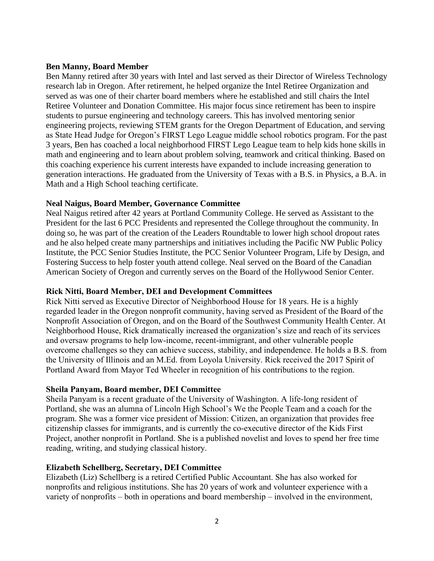#### **Ben Manny, Board Member**

Ben Manny retired after 30 years with Intel and last served as their Director of Wireless Technology research lab in Oregon. After retirement, he helped organize the Intel Retiree Organization and served as was one of their charter board members where he established and still chairs the Intel Retiree Volunteer and Donation Committee. His major focus since retirement has been to inspire students to pursue engineering and technology careers. This has involved mentoring senior engineering projects, reviewing STEM grants for the Oregon Department of Education, and serving as State Head Judge for Oregon's FIRST Lego League middle school robotics program. For the past 3 years, Ben has coached a local neighborhood FIRST Lego League team to help kids hone skills in math and engineering and to learn about problem solving, teamwork and critical thinking. Based on this coaching experience his current interests have expanded to include increasing generation to generation interactions. He graduated from the University of Texas with a B.S. in Physics, a B.A. in Math and a High School teaching certificate.

#### **Neal Naigus, Board Member, Governance Committee**

Neal Naigus retired after 42 years at Portland Community College. He served as Assistant to the President for the last 6 PCC Presidents and represented the College throughout the community. In doing so, he was part of the creation of the Leaders Roundtable to lower high school dropout rates and he also helped create many partnerships and initiatives including the Pacific NW Public Policy Institute, the PCC Senior Studies Institute, the PCC Senior Volunteer Program, Life by Design, and Fostering Success to help foster youth attend college. Neal served on the Board of the Canadian American Society of Oregon and currently serves on the Board of the Hollywood Senior Center.

#### **Rick Nitti, Board Member, DEI and Development Committees**

Rick Nitti served as Executive Director of Neighborhood House for 18 years. He is a highly regarded leader in the Oregon nonprofit community, having served as President of the Board of the Nonprofit Association of Oregon, and on the Board of the Southwest Community Health Center. At Neighborhood House, Rick dramatically increased the organization's size and reach of its services and oversaw programs to help low-income, recent-immigrant, and other vulnerable people overcome challenges so they can achieve success, stability, and independence. He holds a B.S. from the University of Illinois and an M.Ed. from Loyola University. Rick received the 2017 Spirit of Portland Award from Mayor Ted Wheeler in recognition of his contributions to the region.

#### **Sheila Panyam, Board member, DEI Committee**

Sheila Panyam is a recent graduate of the University of Washington. A life-long resident of Portland, she was an alumna of Lincoln High School's We the People Team and a coach for the program. She was a former vice president of Mission: Citizen, an organization that provides free citizenship classes for immigrants, and is currently the co-executive director of the Kids First Project, another nonprofit in Portland. She is a published novelist and loves to spend her free time reading, writing, and studying classical history.

#### **Elizabeth Schellberg, Secretary, DEI Committee**

Elizabeth (Liz) Schellberg is a retired Certified Public Accountant. She has also worked for nonprofits and religious institutions. She has 20 years of work and volunteer experience with a variety of nonprofits – both in operations and board membership – involved in the environment,